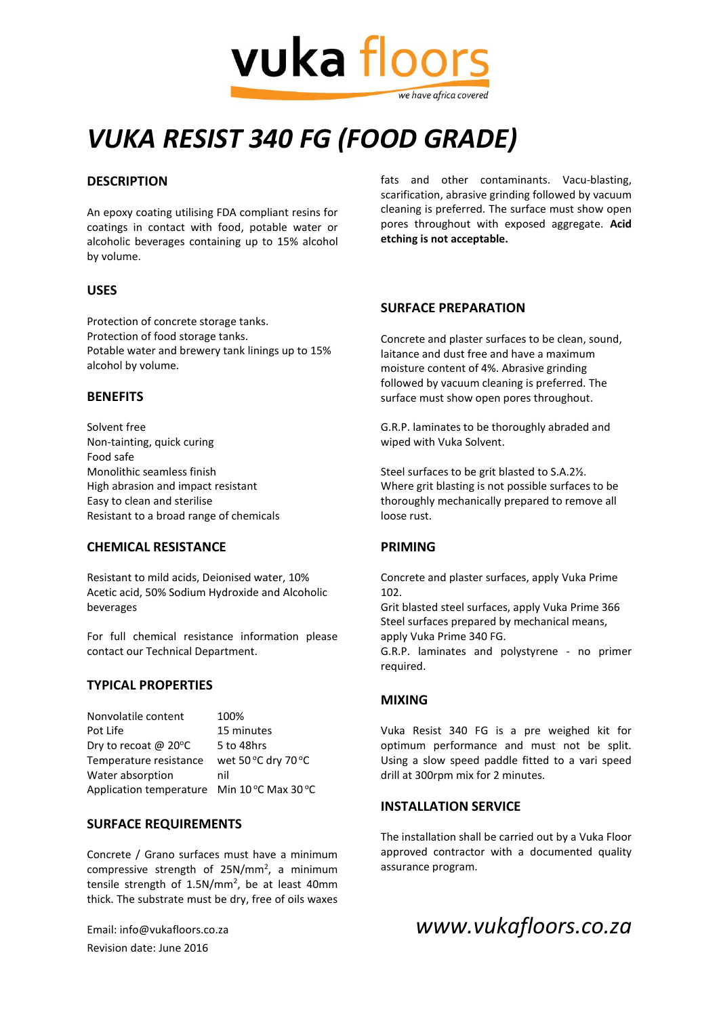

# *VUKA RESIST 340 FG (FOOD GRADE)*

# **DESCRIPTION**

An epoxy coating utilising FDA compliant resins for coatings in contact with food, potable water or alcoholic beverages containing up to 15% alcohol by volume.

# **USES**

Protection of concrete storage tanks. Protection of food storage tanks. Potable water and brewery tank linings up to 15% alcohol by volume.

### **BENEFITS**

Solvent free Non-tainting, quick curing Food safe Monolithic seamless finish High abrasion and impact resistant Easy to clean and sterilise Resistant to a broad range of chemicals

### **CHEMICAL RESISTANCE**

Resistant to mild acids, Deionised water, 10% Acetic acid, 50% Sodium Hydroxide and Alcoholic beverages

For full chemical resistance information please contact our Technical Department.

### **TYPICAL PROPERTIES**

| Nonvolatile content                                  | 100%                |
|------------------------------------------------------|---------------------|
| Pot Life                                             | 15 minutes          |
| Dry to recoat @ 20°C                                 | 5 to 48hrs          |
| Temperature resistance                               | wet 50 °C dry 70 °C |
| Water absorption                                     | nil                 |
| Application temperature Min $10^{\circ}$ C Max 30 °C |                     |

# **SURFACE REQUIREMENTS**

Concrete / Grano surfaces must have a minimum compressive strength of  $25N/mm^2$ , a minimum tensile strength of 1.5N/mm<sup>2</sup>, be at least 40mm thick. The substrate must be dry, free of oils waxes

Revision date: June 2016

fats and other contaminants. Vacu-blasting, scarification, abrasive grinding followed by vacuum cleaning is preferred. The surface must show open pores throughout with exposed aggregate. **Acid etching is not acceptable.**

### **SURFACE PREPARATION**

Concrete and plaster surfaces to be clean, sound, laitance and dust free and have a maximum moisture content of 4%. Abrasive grinding followed by vacuum cleaning is preferred. The surface must show open pores throughout.

G.R.P. laminates to be thoroughly abraded and wiped with Vuka Solvent.

Steel surfaces to be grit blasted to S.A.2½. Where grit blasting is not possible surfaces to be thoroughly mechanically prepared to remove all loose rust.

### **PRIMING**

Concrete and plaster surfaces, apply Vuka Prime 102.

Grit blasted steel surfaces, apply Vuka Prime 366 Steel surfaces prepared by mechanical means, apply Vuka Prime 340 FG.

G.R.P. laminates and polystyrene - no primer required.

### **MIXING**

Vuka Resist 340 FG is a pre weighed kit for optimum performance and must not be split. Using a slow speed paddle fitted to a vari speed drill at 300rpm mix for 2 minutes.

# **INSTALLATION SERVICE**

The installation shall be carried out by a Vuka Floor approved contractor with a documented quality assurance program.

# Email: info@vukafloors.co.za *www.vukafloors.co.za*